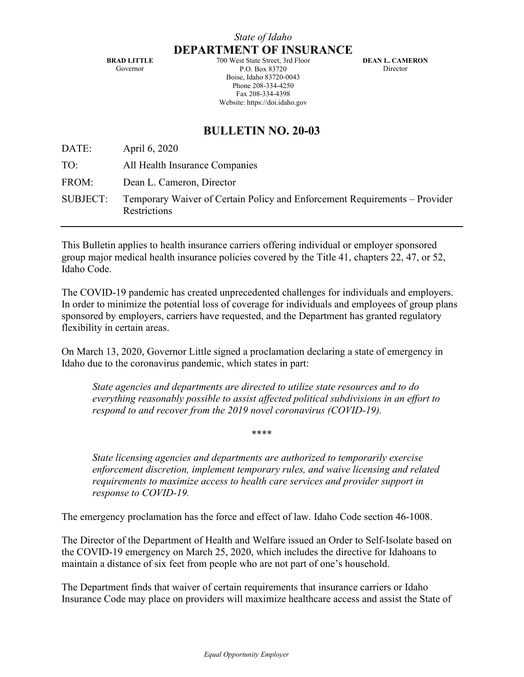**BRAD LITTLE** Governor

700 West State Street, 3rd Floor P.O. Box 83720 Boise, Idaho 83720-0043 Phone 208-334-4250 Fax 208-334-4398 Website: https://doi.idaho.gov

**DEAN L. CAMERON** Director

## **BULLETIN NO. 20-03**

DATE: April 6, 2020 TO: All Health Insurance Companies FROM: Dean L. Cameron, Director SUBJECT: Temporary Waiver of Certain Policy and Enforcement Requirements – Provider **Restrictions** 

This Bulletin applies to health insurance carriers offering individual or employer sponsored group major medical health insurance policies covered by the Title 41, chapters 22, 47, or 52, Idaho Code.

The COVID-19 pandemic has created unprecedented challenges for individuals and employers. In order to minimize the potential loss of coverage for individuals and employees of group plans sponsored by employers, carriers have requested, and the Department has granted regulatory flexibility in certain areas.

On March 13, 2020, Governor Little signed a proclamation declaring a state of emergency in Idaho due to the coronavirus pandemic, which states in part:

*State agencies and departments are directed to utilize state resources and to do everything reasonably possible to assist affected political subdivisions in an effort to respond to and recover from the 2019 novel coronavirus (COVID-19).* 

\*\*\*\*

*State licensing agencies and departments are authorized to temporarily exercise enforcement discretion, implement temporary rules, and waive licensing and related requirements to maximize access to health care services and provider support in response to COVID-19.* 

The emergency proclamation has the force and effect of law. Idaho Code section 46-1008.

The Director of the Department of Health and Welfare issued an Order to Self-Isolate based on the COVID-19 emergency on March 25, 2020, which includes the directive for Idahoans to maintain a distance of six feet from people who are not part of one's household.

The Department finds that waiver of certain requirements that insurance carriers or Idaho Insurance Code may place on providers will maximize healthcare access and assist the State of